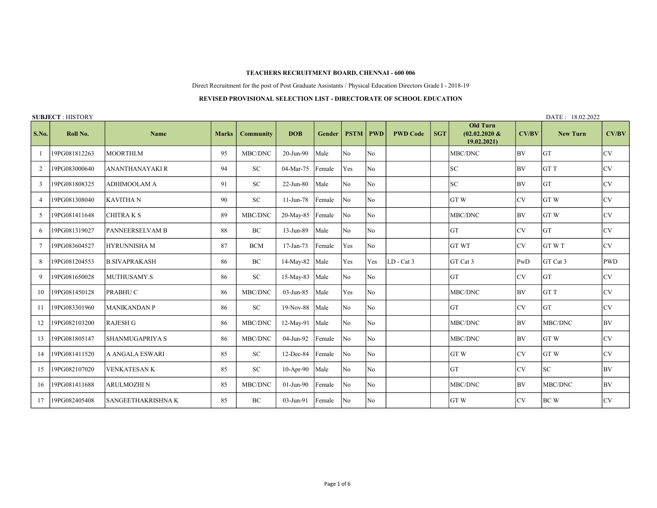## TEACHERS RECRUITMENT BOARD, CHENNAI - 600 006

Direct Recruitment for the post of Post Graduate Assistants / Physical Education Directors Grade I - 2018-19

## REVISED PROVISIONAL SELECTION LIST - DIRECTORATE OF SCHOOL EDUCATION

SUBJECT : HISTORY DATE : 18.02.2022

| S.No. | Roll No.      | <b>Name</b>            | <b>Marks</b> | <b>Community</b> | <b>DOB</b>      | <b>Gender</b> | <b>PSTM</b>    | <b>PWD</b>     | <b>PWD Code</b> | <b>SGT</b> | <b>Old Turn</b><br>$(02.02.2020 \&$<br>19.02.2021) | CV/BV     | <b>New Turn</b> | CV/BV      |
|-------|---------------|------------------------|--------------|------------------|-----------------|---------------|----------------|----------------|-----------------|------------|----------------------------------------------------|-----------|-----------------|------------|
|       | 19PG081812263 | MOORTHI.M              | 95           | MBC/DNC          | 20-Jun-90       | Male          | No             | No.            |                 |            | MBC/DNC                                            | l BV.     | <b>GT</b>       | <b>CV</b>  |
| 2     | 19PG083000640 | <b>ANANTHANAYAKI R</b> | 94           | SC               | 04-Mar-75       | Female        | Yes            | lNo.           |                 |            | <b>SC</b>                                          | l BV.     | GT T            | <b>CV</b>  |
| 3     | 19PG081808325 | <b>ADHIMOOLAM A</b>    | 91           | ${\rm SC}$       | 22-Jun-80       | Male          | N <sub>0</sub> | lNo.           |                 |            | SC                                                 | l BV      | <b>GT</b>       | <b>CV</b>  |
| 4     | 19PG081308040 | <b>KAVITHA N</b>       | 90           | SC               | $11$ -Jun-78    | Female        | No             | No             |                 |            | GTW                                                | lcv.      | <b>GTW</b>      | <b>CV</b>  |
| 5     | 19PG081411648 | <b>CHITRA K S</b>      | 89           | MBC/DNC          | 20-May-85       | Female        | <b>No</b>      | No.            |                 |            | MBC/DNC                                            | l BV.     | GT W            | <b>CV</b>  |
| 6     | 19PG081319027 | PANNEERSELVAM B        | 88           | BC               | 13-Jun-89       | Male          | No             | No             |                 |            | GT                                                 | lcv       | <b>GT</b>       | <b>CV</b>  |
|       | 19PG083604527 | <b>HYRUNNISHA M</b>    | 87           | <b>BCM</b>       | $17$ -Jan- $73$ | Female        | Yes            | No             |                 |            | <b>GT WT</b>                                       | lcv       | <b>GTWT</b>     | <b>CV</b>  |
| 8     | 19PG081204553 | <b>B.SIVAPRAKASH</b>   | 86           | BC               | 14-May-82       | Male          | Yes            | Yes            | $LD - Cat 3$    |            | GT Cat 3                                           | PWD       | GT Cat 3        | <b>PWD</b> |
| 9     | 19PG081650028 | MUTHUSAMY.S            | 86           | SC               | $15$ -May-83    | Male          | No             | No.            |                 |            | GT                                                 | lcv       | <b>GT</b>       | <b>CV</b>  |
| 10    | 19PG081450128 | PRABHU C               | 86           | MBC/DNC          | 03-Jun-85       | Male          | Yes            | No             |                 |            | MBC/DNC                                            | <b>BV</b> | <b>GTT</b>      | <b>CV</b>  |
| 11    | 19PG083301960 | <b>MANIKANDAN P</b>    | 86           | SC               | $19-Nov-88$     | Male          | No             | No             |                 |            | GT                                                 | lcv       | <b>GT</b>       | <b>CV</b>  |
| 12    | 19PG082103200 | <b>RAJESH G</b>        | 86           | MBC/DNC          | 12-May-91       | Male          | No             | No             |                 |            | MBC/DNC                                            | BV        | MBC/DNC         | BV         |
| 13    | 19PG081805147 | <b>SHANMUGAPRIYA S</b> | 86           | MBC/DNC          | 04-Jun-92       | Female        | No             | N <sub>o</sub> |                 |            | MBC/DNC                                            | <b>BV</b> | <b>GTW</b>      | <b>CV</b>  |
| 14    | 19PG081411520 | A ANGALA ESWARI        | 85           | ${\rm SC}$       | 12-Dec-84       | Female        | No             | No             |                 |            | GTW                                                | lcv       | GT W            | <b>CV</b>  |
| 15    | 19PG082107020 | <b>VENKATESAN K</b>    | 85           | SC               | $10-Apr-90$     | Male          | No             | No             |                 |            | <b>GT</b>                                          | lcv       | <b>SC</b>       | <b>BV</b>  |
| 16    | 19PG081411688 | <b>ARULMOZHI N</b>     | 85           | MBC/DNC          | $01$ -Jun- $90$ | Female        | No             | No.            |                 |            | MBC/DNC                                            | BV        | MBC/DNC         | <b>BV</b>  |
| 17    | 19PG082405408 | SANGEETHAKRISHNA K     | 85           | BC               | 03-Jun-91       | Female        | No             | No             |                 |            | GTW                                                | lcv       | <b>BCW</b>      | <b>CV</b>  |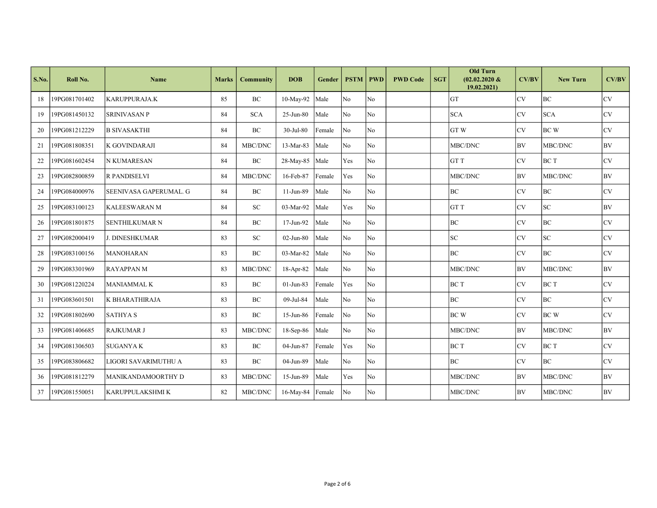| S.No. | Roll No.      | <b>Name</b>            | <b>Marks</b> | <b>Community</b> | <b>DOB</b>            | <b>Gender</b> | <b>PSTM</b>    | <b>PWD</b>     | <b>PWD Code</b> | <b>SGT</b> | <b>Old Turn</b><br>$(02.02.2020 \&$<br>19.02.2021) | CV/BV     | <b>New Turn</b> | CV/BV     |
|-------|---------------|------------------------|--------------|------------------|-----------------------|---------------|----------------|----------------|-----------------|------------|----------------------------------------------------|-----------|-----------------|-----------|
| 18    | 19PG081701402 | KARUPPURAJA.K          | 85           | <b>BC</b>        | 10-May-92             | Male          | No             | N <sub>o</sub> |                 |            | <b>GT</b>                                          | lcv       | lbc.            | <b>CV</b> |
| 19    | 19PG081450132 | <b>SRINIVASAN P</b>    | 84           | <b>SCA</b>       | 25-Jun-80             | Male          | No             | N <sub>o</sub> |                 |            | <b>SCA</b>                                         | lcv       | <b>SCA</b>      | <b>CV</b> |
| 20    | 19PG081212229 | <b>B SIVASAKTHI</b>    | 84           | BC               | 30-Jul-80             | Female        | No             | N <sub>o</sub> |                 |            | <b>GTW</b>                                         | lcv       | <b>BCW</b>      | <b>CV</b> |
| 21    | 19PG081808351 | K GOVINDARAJI          | 84           | MBC/DNC          | 13-Mar-83             | Male          | No             | No             |                 |            | MBC/DNC                                            | <b>BV</b> | MBC/DNC         | <b>BV</b> |
| 22    | 19PG081602454 | <b>N KUMARESAN</b>     | 84           | BC               | 28-May-85             | Male          | Yes            | N <sub>o</sub> |                 |            | <b>GTT</b>                                         | <b>CV</b> | BC T            | <b>CV</b> |
| 23    | 19PG082800859 | <b>R PANDISELVI</b>    | 84           | MBC/DNC          | 16-Feb-87             | Female        | Yes            | N <sub>o</sub> |                 |            | MBC/DNC                                            | <b>BV</b> | MBC/DNC         | BV        |
| 24    | 19PG084000976 | SEENIVASA GAPERUMAL. G | 84           | BC               | 11-Jun-89             | Male          | No             | No             |                 |            | BC                                                 | lcv       | BC              | <b>CV</b> |
| 25    | 19PG083100123 | <b>KALEESWARAN M</b>   | 84           | SC               | 03-Mar-92             | Male          | Yes            | N <sub>o</sub> |                 |            | GT T                                               | lcv       | <b>SC</b>       | <b>BV</b> |
| 26    | 19PG081801875 | <b>SENTHILKUMAR N</b>  | 84           | BC               | 17-Jun-92             | Male          | No             | N <sub>o</sub> |                 |            | BC                                                 | lcv       | <b>BC</b>       | <b>CV</b> |
| 27    | 19PG082000419 | <b>J. DINESHKUMAR</b>  | 83           | <b>SC</b>        | $02$ -Jun-80          | Male          | No             | N <sub>o</sub> |                 |            | <b>SC</b>                                          | lcv       | lsc             | <b>CV</b> |
| 28    | 19PG083100156 | MANOHARAN              | 83           | BC               | 03-Mar-82             | Male          | No             | N <sub>o</sub> |                 |            | <b>BC</b>                                          | lcv       | l BC            | <b>CV</b> |
| 29    | 19PG083301969 | <b>RAYAPPANM</b>       | 83           | MBC/DNC          | 18-Apr-82             | Male          | No             | N <sub>o</sub> |                 |            | MBC/DNC                                            | <b>BV</b> | MBC/DNC         | BV        |
| 30    | 19PG081220224 | <b>MANIAMMAL K</b>     | 83           | <b>BC</b>        | $01$ -Jun-83          | Female        | Yes            | N <sub>o</sub> |                 |            | <b>BCT</b>                                         | lcv       | BC T            | <b>CV</b> |
| 31    | 19PG083601501 | K BHARATHIRAJA         | 83           | BC               | 09-Jul-84             | Male          | No             | N <sub>o</sub> |                 |            | <b>BC</b>                                          | lcv       | lbc.            | <b>CV</b> |
| 32    | 19PG081802690 | <b>SATHYAS</b>         | 83           | BC               | 15-Jun-86             | Female        | N <sub>o</sub> | N <sub>o</sub> |                 |            | <b>BCW</b>                                         | lcv       | <b>BCW</b>      | <b>CV</b> |
| 33    | 19PG081406685 | <b>RAJKUMAR J</b>      | 83           | MBC/DNC          | 18-Sep-86             | Male          | No             | No             |                 |            | MBC/DNC                                            | <b>BV</b> | MBC/DNC         | <b>BV</b> |
| 34    | 19PG081306503 | <b>SUGANYAK</b>        | 83           | BC               | 04-Jun-87             | Female        | Yes            | No             |                 |            | BC T                                               | lcv       | <b>BCT</b>      | <b>CV</b> |
| 35    | 19PG083806682 | LIGORI SAVARIMUTHU A   | 83           | BC               | 04-Jun-89             | Male          | N <sub>0</sub> | N <sub>0</sub> |                 |            | <b>BC</b>                                          | lcv       | lbc.            | <b>CV</b> |
| 36    | 19PG081812279 | MANIKANDAMOORTHY D     | 83           | MBC/DNC          | 15-Jun-89             | Male          | Yes            | N <sub>o</sub> |                 |            | MBC/DNC                                            | BV        | MBC/DNC         | BV        |
| 37    | 19PG081550051 | <b>KARUPPULAKSHMIK</b> | 82           | MBC/DNC          | $16$ -May-84   Female |               | No             | No             |                 |            | MBC/DNC                                            | <b>BV</b> | MBC/DNC         | <b>BV</b> |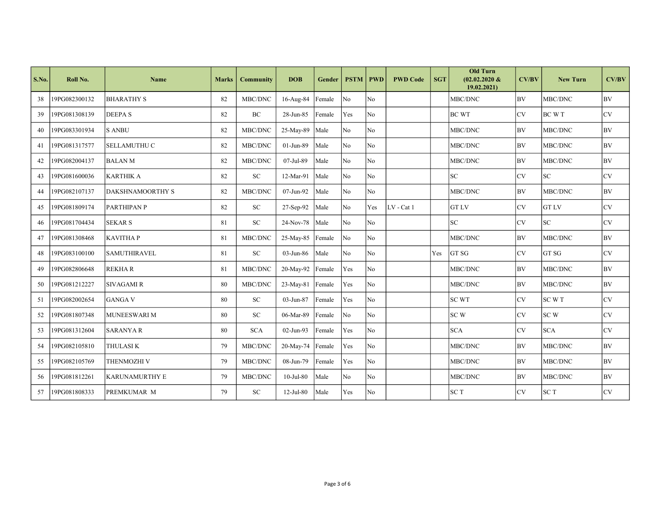| S.No. | Roll No.      | <b>Name</b>             | <b>Marks</b> | <b>Community</b> | <b>DOB</b>        | Gender | <b>PSTM</b>    | <b>PWD</b>     | <b>PWD Code</b> | <b>SGT</b> | <b>Old Turn</b><br>$(02.02.2020 \&$<br>19.02.2021) | CV/BV     | <b>New Turn</b> | CV/BV     |
|-------|---------------|-------------------------|--------------|------------------|-------------------|--------|----------------|----------------|-----------------|------------|----------------------------------------------------|-----------|-----------------|-----------|
| 38    | 19PG082300132 | <b>BHARATHY S</b>       | 82           | MBC/DNC          | 16-Aug-84         | Female | N <sub>o</sub> | No             |                 |            | MBC/DNC                                            | <b>BV</b> | MBC/DNC         | BV        |
| 39    | 19PG081308139 | <b>DEEPAS</b>           | 82           | $\rm BC$         | 28-Jun-85         | Female | Yes            | No             |                 |            | <b>BC WT</b>                                       | <b>CV</b> | BC W T          | CV        |
| 40    | 19PG083301934 | <b>S ANBU</b>           | 82           | MBC/DNC          | 25-May-89         | Male   | No             | N <sub>o</sub> |                 |            | MBC/DNC                                            | <b>BV</b> | MBC/DNC         | BV        |
| 41    | 19PG081317577 | <b>SELLAMUTHU C</b>     | 82           | MBC/DNC          | $01$ -Jun-89      | Male   | No             | <b>No</b>      |                 |            | MBC/DNC                                            | BV        | MBC/DNC         | <b>BV</b> |
| 42    | 19PG082004137 | <b>BALANM</b>           | 82           | MBC/DNC          | 07-Jul-89         | Male   | No             | No             |                 |            | MBC/DNC                                            | <b>BV</b> | MBC/DNC         | BV        |
| 43    | 19PG081600036 | KARTHIK A               | 82           | SC               | 12-Mar-91         | Male   | N <sub>o</sub> | No             |                 |            | lsc                                                | CV        | ${\rm SC}$      | <b>CV</b> |
| 44    | 19PG082107137 | <b>DAKSHNAMOORTHY S</b> | 82           | MBC/DNC          | 07-Jun-92         | Male   | N <sub>0</sub> | No.            |                 |            | MBC/DNC                                            | <b>BV</b> | MBC/DNC         | <b>BV</b> |
| 45    | 19PG081809174 | <b>PARTHIPAN P</b>      | 82           | SC               | 27-Sep-92         | Male   | No             | Yes            | LV - Cat 1      |            | <b>GT LV</b>                                       | <b>CV</b> | <b>GT LV</b>    | <b>CV</b> |
| 46    | 19PG081704434 | <b>SEKAR S</b>          | 81           | <b>SC</b>        | $24$ -Nov-78 Male |        | No             | No             |                 |            | <b>SC</b>                                          | <b>CV</b> | <b>SC</b>       | <b>CV</b> |
| 47    | 19PG081308468 | <b>KAVITHAP</b>         | 81           | MBC/DNC          | 25-May-85         | Female | N <sub>o</sub> | N <sub>o</sub> |                 |            | MBC/DNC                                            | <b>BV</b> | MBC/DNC         | <b>BV</b> |
| 48    | 19PG083100100 | <b>SAMUTHIRAVEL</b>     | 81           | ${\rm SC}$       | 03-Jun-86         | Male   | N <sub>o</sub> | No             |                 | Yes        | GT SG                                              | <b>CV</b> | GT SG           | <b>CV</b> |
| 49    | 19PG082806648 | REKHA R                 | 81           | MBC/DNC          | 20-May-92         | Female | Yes            | No             |                 |            | MBC/DNC                                            | <b>BV</b> | MBC/DNC         | BV        |
| 50    | 19PG081212227 | <b>SIVAGAMI R</b>       | 80           | MBC/DNC          | 23-May-81 Female  |        | Yes            | N <sub>o</sub> |                 |            | MBC/DNC                                            | BV        | MBC/DNC         | BV        |
| 51    | 19PG082002654 | <b>GANGA V</b>          | 80           | ${\rm SC}$       | 03-Jun-87         | Female | Yes            | No             |                 |            | <b>SC WT</b>                                       | <b>CV</b> | SC W T          | CV        |
| 52    | 19PG081807348 | MUNEESWARI M            | 80           | ${\rm SC}$       | 06-Mar-89         | Female | No             | No             |                 |            | <b>SCW</b>                                         | CV        | SCW             | <b>CV</b> |
| 53    | 19PG081312604 | <b>SARANYA R</b>        | 80           | <b>SCA</b>       | $02$ -Jun-93      | Female | Yes            | No             |                 |            | <b>SCA</b>                                         | <b>CV</b> | <b>SCA</b>      | <b>CV</b> |
| 54    | 19PG082105810 | <b>THULASIK</b>         | 79           | MBC/DNC          | 20-May-74 Female  |        | Yes            | No             |                 |            | MBC/DNC                                            | BV        | MBC/DNC         | BV        |
| 55    | 19PG082105769 | THENMOZHI V             | 79           | MBC/DNC          | 08-Jun-79         | Female | Yes            | No             |                 |            | MBC/DNC                                            | <b>BV</b> | MBC/DNC         | <b>BV</b> |
| 56    | 19PG081812261 | <b>KARUNAMURTHY E</b>   | 79           | MBC/DNC          | $10$ -Jul-80      | Male   | No             | No             |                 |            | MBC/DNC                                            | <b>BV</b> | MBC/DNC         | BV        |
| 57    | 19PG081808333 | <b>PREMKUMAR M</b>      | 79           | ${\rm SC}$       | $12$ -Jul-80      | Male   | Yes            | No             |                 |            | <b>SCT</b>                                         | <b>CV</b> | <b>SCT</b>      | <b>CV</b> |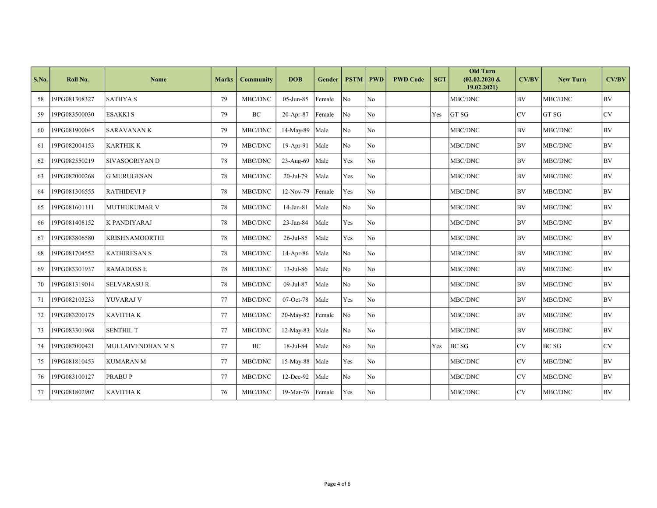| S.No. | Roll No.      | Name                  | <b>Marks</b> | <b>Community</b> | <b>DOB</b>         | Gender | <b>PSTM</b>    | <b>PWD</b>     | <b>PWD Code</b> | <b>SGT</b> | <b>Old Turn</b><br>$(02.02.2020 \&$<br>19.02.2021) | CV/BV     | <b>New Turn</b> | CV/BV     |
|-------|---------------|-----------------------|--------------|------------------|--------------------|--------|----------------|----------------|-----------------|------------|----------------------------------------------------|-----------|-----------------|-----------|
| 58    | 19PG081308327 | <b>SATHYAS</b>        | 79           | MBC/DNC          | 05-Jun-85          | Female | N <sub>0</sub> | No             |                 |            | <b>MBC/DNC</b>                                     | BV        | MBC/DNC         | BV        |
| 59    | 19PG083500030 | ESAKKI S              | 79           | <b>BC</b>        | 20-Apr-87          | Female | No             | No             |                 | Yes        | GT SG                                              | CV        | GT SG           | <b>CV</b> |
| 60    | 19PG081900045 | <b>SARAVANANK</b>     | 79           | MBC/DNC          | 14-May-89          | Male   | N <sub>o</sub> | No             |                 |            | MBC/DNC                                            | <b>BV</b> | MBC/DNC         | BV        |
| 61    | 19PG082004153 | KARTHIK K             | 79           | MBC/DNC          | 19-Apr-91          | Male   | N <sub>o</sub> | N <sub>o</sub> |                 |            | MBC/DNC                                            | BV        | MBC/DNC         | BV        |
| 62    | 19PG082550219 | SIVASOORIYAN D        | 78           | MBC/DNC          | 23-Aug-69          | Male   | Yes            | No             |                 |            | MBC/DNC                                            | BV        | MBC/DNC         | <b>BV</b> |
| 63    | 19PG082000268 | <b>G MURUGESAN</b>    | 78           | MBC/DNC          | 20-Jul-79          | Male   | Yes            | No             |                 |            | MBC/DNC                                            | BV        | MBC/DNC         | <b>BV</b> |
| 64    | 19PG081306555 | <b>RATHIDEVIP</b>     | 78           | MBC/DNC          | 12-Nov-79          | Female | Yes            | No             |                 |            | MBC/DNC                                            | <b>BV</b> | MBC/DNC         | <b>BV</b> |
| 65    | 19PG081601111 | <b>MUTHUKUMAR V</b>   | 78           | MBC/DNC          | 14-Jan-81          | Male   | N <sub>0</sub> | No             |                 |            | MBC/DNC                                            | <b>BV</b> | MBC/DNC         | <b>BV</b> |
| 66    | 19PG081408152 | K PANDIYARAJ          | 78           | MBC/DNC          | 23-Jan-84          | Male   | Yes            | No             |                 |            | MBC/DNC                                            | <b>BV</b> | MBC/DNC         | <b>BV</b> |
| 67    | 19PG083806580 | <b>KRISHNAMOORTHI</b> | 78           | MBC/DNC          | 26-Jul-85          | Male   | Yes            | No             |                 |            | MBC/DNC                                            | <b>BV</b> | MBC/DNC         | BV        |
| 68    | 19PG081704552 | <b>KATHIRESAN S</b>   | 78           | MBC/DNC          | $14-Apr-86$        | Male   | N <sub>o</sub> | No             |                 |            | MBC/DNC                                            | <b>BV</b> | MBC/DNC         | <b>BV</b> |
| 69    | 19PG083301937 | <b>RAMADOSS E</b>     | 78           | MBC/DNC          | $13$ -Jul-86       | Male   | N <sub>o</sub> | No             |                 |            | MBC/DNC                                            | <b>BV</b> | MBC/DNC         | <b>BV</b> |
| 70    | 19PG081319014 | <b>SELVARASUR</b>     | 78           | MBC/DNC          | 09-Jul-87          | Male   | No             | No             |                 |            | MBC/DNC                                            | <b>BV</b> | MBC/DNC         | <b>BV</b> |
| 71    | 19PG082103233 | YUVARAJ V             | 77           | MBC/DNC          | $07-Oct-78$        | Male   | Yes            | No             |                 |            | MBC/DNC                                            | <b>BV</b> | MBC/DNC         | BV.       |
| 72    | 19PG083200175 | KAVITHA K             | 77           | MBC/DNC          | 20-May-82 Female   |        | No             | N <sub>o</sub> |                 |            | MBC/DNC                                            | <b>BV</b> | MBC/DNC         | <b>BV</b> |
| 73    | 19PG083301968 | <b>SENTHIL T</b>      | 77           | MBC/DNC          | $12-May-83$        | Male   | No             | No             |                 |            | MBC/DNC                                            | <b>BV</b> | MBC/DNC         | <b>BV</b> |
| 74    | 19PG082000421 | MULLAIVENDHAN M S     | 77           | BC               | 18-Jul-84          | Male   | No             | No             |                 | Yes        | <b>BC SG</b>                                       | <b>CV</b> | <b>BC SG</b>    | <b>CV</b> |
| 75    | 19PG081810453 | <b>KUMARAN M</b>      | 77           | MBC/DNC          | 15-May-88 Male     |        | Yes            | No             |                 |            | MBC/DNC                                            | <b>CV</b> | MBC/DNC         | <b>BV</b> |
| 76    | 19PG083100127 | <b>PRABUP</b>         | 77           | MBC/DNC          | 12-Dec-92          | Male   | N <sub>o</sub> | No             |                 |            | MBC/DNC                                            | CV        | MBC/DNC         | <b>BV</b> |
| 77    | 19PG081802907 | <b>KAVITHAK</b>       | 76           | MBC/DNC          | 19-Mar-76   Female |        | Yes            | No             |                 |            | MBC/DNC                                            | <b>CV</b> | MBC/DNC         | <b>BV</b> |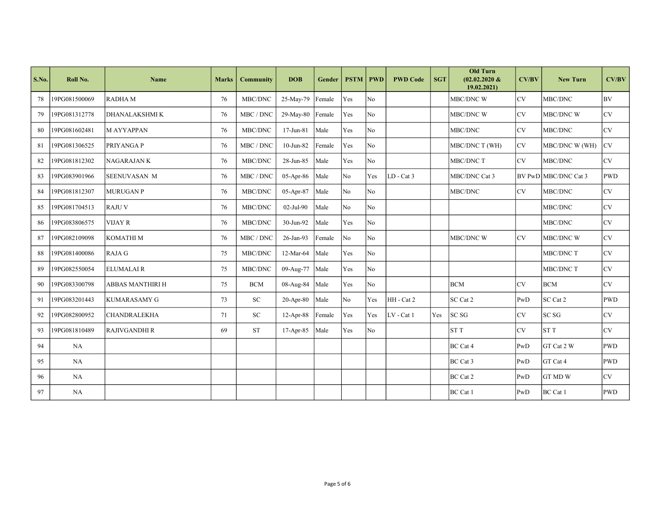| S.No. | Roll No.      | Name                    | <b>Marks</b> | <b>Community</b> | <b>DOB</b>       | Gender | <b>PSTM</b>    | <b>PWD</b>     | <b>PWD Code</b> | <b>SGT</b> | <b>Old Turn</b><br>$(02.02.2020 \&$<br>19.02.2021 | CV/BV     | <b>New Turn</b>      | CV/BV      |
|-------|---------------|-------------------------|--------------|------------------|------------------|--------|----------------|----------------|-----------------|------------|---------------------------------------------------|-----------|----------------------|------------|
| 78    | 19PG081500069 | RADHA M                 | 76           | MBC/DNC          | 25-May-79        | Female | Yes            | No             |                 |            | <b>MBC/DNC W</b>                                  | CV        | MBC/DNC              | <b>BV</b>  |
| 79    | 19PG081312778 | DHANALAKSHMI K          | 76           | MBC / DNC        | 29-May-80 Female |        | Yes            | No             |                 |            | MBC/DNC W                                         | CV        | MBC/DNC W            | <b>CV</b>  |
| 80    | 19PG081602481 | <b>MAYYAPPAN</b>        | 76           | MBC/DNC          | 17-Jun-81        | Male   | Yes            | No             |                 |            | MBC/DNC                                           | <b>CV</b> | MBC/DNC              | <b>CV</b>  |
| 81    | 19PG081306525 | <b>PRIYANGAP</b>        | 76           | MBC / DNC        | $10$ -Jun-82     | Female | Yes            | No             |                 |            | MBC/DNC T (WH)                                    | <b>CV</b> | MBC/DNC W (WH)       | <b>CV</b>  |
| 82    | 19PG081812302 | <b>NAGARAJANK</b>       | 76           | MBC/DNC          | 28-Jun-85        | Male   | Yes            | No             |                 |            | MBC/DNC T                                         | <b>CV</b> | MBC/DNC              | CV         |
| 83    | 19PG083901966 | <b>SEENUVASAN M</b>     | 76           | MBC / DNC        | $05-Apr-86$      | Male   | No             | Yes            | $LD - Cat 3$    |            | MBC/DNC Cat 3                                     |           | BV PwD MBC/DNC Cat 3 | <b>PWD</b> |
| 84    | 19PG081812307 | <b>MURUGANP</b>         | 76           | MBC/DNC          | 05-Apr-87        | Male   | No             | No             |                 |            | MBC/DNC                                           | <b>CV</b> | MBC/DNC              | <b>CV</b>  |
| 85    | 19PG081704513 | <b>RAJUV</b>            | 76           | MBC/DNC          | 02-Jul-90        | Male   | No             | No             |                 |            |                                                   |           | MBC/DNC              | <b>CV</b>  |
| 86    | 19PG083806575 | <b>VIJAY R</b>          | 76           | MBC/DNC          | 30-Jun-92        | Male   | Yes            | No             |                 |            |                                                   |           | MBC/DNC              | <b>CV</b>  |
| 87    | 19PG082109098 | KOMATHI M               | 76           | MBC / DNC        | 26-Jan-93        | Female | No             | No             |                 |            | MBC/DNC W                                         | <b>CV</b> | MBC/DNC W            | <b>CV</b>  |
| 88    | 19PG081400086 | RAJA G                  | 75           | MBC/DNC          | 12-Mar-64        | Male   | Yes            | No             |                 |            |                                                   |           | MBC/DNC T            | <b>CV</b>  |
| 89    | 19PG082550054 | <b>ELUMALAIR</b>        | 75           | MBC/DNC          | 09-Aug-77        | Male   | Yes            | N <sub>o</sub> |                 |            |                                                   |           | MBC/DNC T            | <b>CV</b>  |
| 90    | 19PG083300798 | <b>ABBAS MANTHIRI H</b> | 75           | <b>BCM</b>       | $08-Aug-84$ Male |        | Yes            | N <sub>o</sub> |                 |            | <b>BCM</b>                                        | <b>CV</b> | <b>BCM</b>           | <b>CV</b>  |
| 91    | 19PG083201443 | KUMARASAMY G            | 73           | <b>SC</b>        | $20-Apr-80$      | Male   | N <sub>o</sub> | Yes            | HH - Cat 2      |            | SC Cat 2                                          | PwD       | SC Cat 2             | <b>PWD</b> |
| 92    | 19PG082800952 | <b>CHANDRALEKHA</b>     | 71           | <b>SC</b>        | 12-Apr-88 Female |        | Yes            | Yes            | LV - Cat 1      | Yes        | SC <sub>SG</sub>                                  | <b>CV</b> | SC <sub>SG</sub>     | CV         |
| 93    | 19PG081810489 | RAJIVGANDHI R           | 69           | <b>ST</b>        | $17-Apr-85$      | Male   | Yes            | No             |                 |            | <b>STT</b>                                        | <b>CV</b> | <b>STT</b>           | CV         |
| 94    | NA            |                         |              |                  |                  |        |                |                |                 |            | BC Cat 4                                          | PwD       | GT Cat 2 W           | PWD        |
| 95    | <b>NA</b>     |                         |              |                  |                  |        |                |                |                 |            | BC Cat 3                                          | PwD       | GT Cat 4             | <b>PWD</b> |
| 96    | NA            |                         |              |                  |                  |        |                |                |                 |            | BC Cat 2                                          | PwD       | <b>GT MD W</b>       | <b>CV</b>  |
| 97    | NA            |                         |              |                  |                  |        |                |                |                 |            | BC Cat 1                                          | PwD       | BC Cat 1             | PWD        |